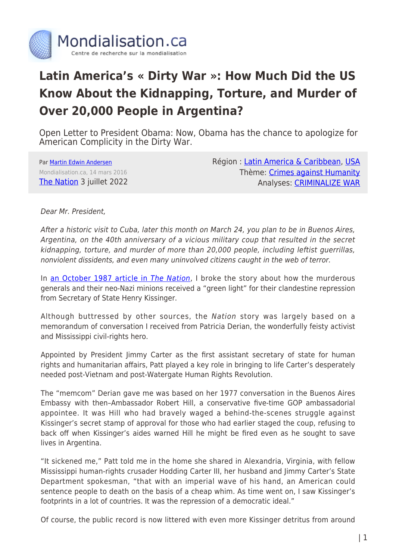

## **Latin America's « Dirty War »: How Much Did the US Know About the Kidnapping, Torture, and Murder of Over 20,000 People in Argentina?**

Open Letter to President Obama: Now, Obama has the chance to apologize for American Complicity in the Dirty War.

Par [Martin Edwin Andersen](https://www.mondialisation.ca/author/martin-edwin-andersen) Mondialisation.ca, 14 mars 2016 [The Nation](http://www.thenation.com/article/how-much-did-the-us-know-about-the-kidnapping-torture-and-murder-of-over-20000-people-in-argentina/) 3 juillet 2022 Région : [Latin America & Caribbean,](https://www.mondialisation.ca/region/latin-america-caribbean) [USA](https://www.mondialisation.ca/region/usa) Thème: [Crimes against Humanity](https://www.mondialisation.ca/theme/crimes-against-humanity) Analyses: [CRIMINALIZE WAR](https://www.mondialisation.ca/indepthreport/criminalize-war)

Dear Mr. President,

After a historic visit to Cuba, later this month on March 24, you plan to be in Buenos Aires, Argentina, on the 40th anniversary of a vicious military coup that resulted in the secret kidnapping, torture, and murder of more than 20,000 people, including leftist guerrillas, nonviolent dissidents, and even many uninvolved citizens caught in the web of terror.

In [an October 1987 article in](http://thenation.s3.amazonaws.com/pdf/11197743.pdf) [The Nation](http://thenation.s3.amazonaws.com/pdf/11197743.pdf), I broke the story about how the murderous generals and their neo-Nazi minions received a "green light" for their clandestine repression from Secretary of State Henry Kissinger.

Although buttressed by other sources, the Nation story was largely based on a memorandum of conversation I received from Patricia Derian, the wonderfully feisty activist and Mississippi civil-rights hero.

Appointed by President Jimmy Carter as the first assistant secretary of state for human rights and humanitarian affairs, Patt played a key role in bringing to life Carter's desperately needed post-Vietnam and post-Watergate Human Rights Revolution.

The "memcom" Derian gave me was based on her 1977 conversation in the Buenos Aires Embassy with then–Ambassador Robert Hill, a conservative five-time GOP ambassadorial appointee. It was Hill who had bravely waged a behind-the-scenes struggle against Kissinger's secret stamp of approval for those who had earlier staged the coup, refusing to back off when Kissinger's aides warned Hill he might be fired even as he sought to save lives in Argentina.

"It sickened me," Patt told me in the home she shared in Alexandria, Virginia, with fellow Mississippi human-rights crusader Hodding Carter III, her husband and Jimmy Carter's State Department spokesman, "that with an imperial wave of his hand, an American could sentence people to death on the basis of a cheap whim. As time went on, I saw Kissinger's footprints in a lot of countries. It was the repression of a democratic ideal."

Of course, the public record is now littered with even more Kissinger detritus from around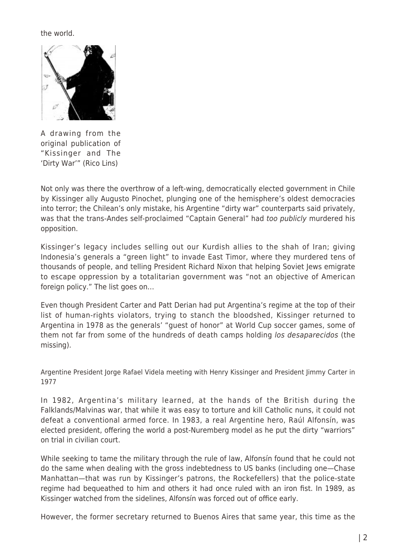the world.



A drawing from the original publication of "Kissinger and The 'Dirty War'" (Rico Lins)

Not only was there the overthrow of a left-wing, democratically elected government in Chile by Kissinger ally Augusto Pinochet, plunging one of the hemisphere's oldest democracies into terror; the Chilean's only mistake, his Argentine "dirty war" counterparts said privately, was that the trans-Andes self-proclaimed "Captain General" had too publicly murdered his opposition.

Kissinger's legacy includes selling out our Kurdish allies to the shah of Iran; giving Indonesia's generals a "green light" to invade East Timor, where they murdered tens of thousands of people, and telling President Richard Nixon that helping Soviet Jews emigrate to escape oppression by a totalitarian government was "not an objective of American foreign policy." The list goes on…

Even though President Carter and Patt Derian had put Argentina's regime at the top of their list of human-rights violators, trying to stanch the bloodshed, Kissinger returned to Argentina in 1978 as the generals' "guest of honor" at World Cup soccer games, some of them not far from some of the hundreds of death camps holding los desaparecidos (the missing).

Argentine President Jorge Rafael Videla meeting with Henry Kissinger and President Jimmy Carter in 1977

In 1982, Argentina's military learned, at the hands of the British during the Falklands/Malvinas war, that while it was easy to torture and kill Catholic nuns, it could not defeat a conventional armed force. In 1983, a real Argentine hero, Raúl Alfonsín, was elected president, offering the world a post-Nuremberg model as he put the dirty "warriors" on trial in civilian court.

While seeking to tame the military through the rule of law, Alfonsín found that he could not do the same when dealing with the gross indebtedness to US banks (including one—Chase Manhattan—that was run by Kissinger's patrons, the Rockefellers) that the police-state regime had bequeathed to him and others it had once ruled with an iron fist. In 1989, as Kissinger watched from the sidelines, Alfonsín was forced out of office early.

However, the former secretary returned to Buenos Aires that same year, this time as the